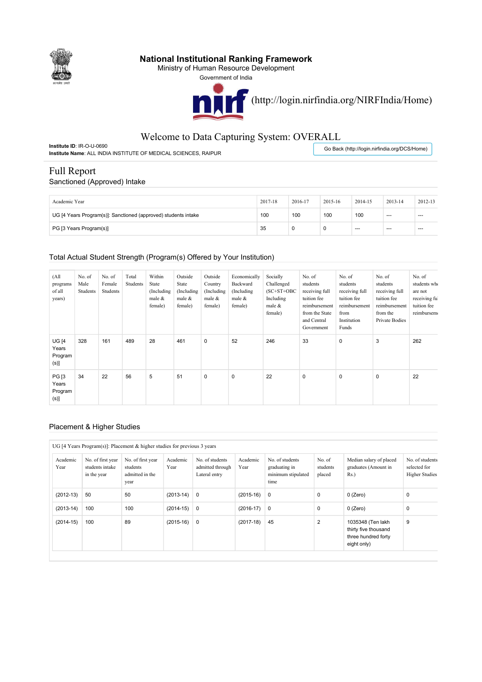

## **National Institutional Ranking Framework**

Ministry of Human Resource Development

Government of India



# Welcome to Data Capturing System: OVERALL

**Institute ID**: IR-O-U-0690 **Institute Name**: ALL INDIA INSTITUTE OF MEDICAL SCIENCES, RAIPUR

Go Back (http://login.nirfindia.org/DCS/Home)

# Full Report

#### Sanctioned (Approved) Intake

| Academic Year                                                  | 2017-18 | 2016-17 | 2015-16 | 2014-15 | 2013-14 | 2012-13 |
|----------------------------------------------------------------|---------|---------|---------|---------|---------|---------|
| UG [4 Years Program(s)]: Sanctioned (approved) students intake | 100     | 100     | 100     | 100     | $-$     | $-$     |
| PG [3 Years Program(s)]                                        | 35      |         |         | $- - -$ | $- - -$ | $-$     |

#### Total Actual Student Strength (Program(s) Offered by Your Institution)

| (A <sup>  </sup> )<br>programs<br>of all<br>years) | No. of<br>Male<br>Students | No. of<br>Female<br>Students | Total<br>Students | Within<br>State<br>(Including<br>male &<br>female) | Outside<br>State<br>(Including)<br>male $&$<br>female) | Outside<br>Country<br>(Including<br>male &<br>female) | Economically<br>Backward<br>(Including)<br>male &<br>female) | Socially<br>Challenged<br>$(SC+ST+OBC$<br>Including<br>male &<br>female) | No. of<br>students<br>receiving full<br>tuition fee<br>reimbursement<br>from the State<br>and Central<br>Government | No. of<br>students<br>receiving full<br>tuition fee<br>reimbursement<br>from<br>Institution<br>Funds | No. of<br>students<br>receiving full<br>tuition fee<br>reimbursement<br>from the<br>Private Bodies | No. of<br>students who<br>are not<br>receiving ful<br>tuition fee<br>reimbursem |
|----------------------------------------------------|----------------------------|------------------------------|-------------------|----------------------------------------------------|--------------------------------------------------------|-------------------------------------------------------|--------------------------------------------------------------|--------------------------------------------------------------------------|---------------------------------------------------------------------------------------------------------------------|------------------------------------------------------------------------------------------------------|----------------------------------------------------------------------------------------------------|---------------------------------------------------------------------------------|
| <b>UG [4</b><br>Years<br>Program<br>(s)            | 328                        | 161                          | 489               | 28                                                 | 461                                                    | $\mathbf 0$                                           | 52                                                           | 246                                                                      | 33                                                                                                                  | 0                                                                                                    | 3                                                                                                  | 262                                                                             |
| <b>PG</b> [3<br>Years<br>Program<br>$(s)$ ]        | 34                         | 22                           | 56                | 5                                                  | 51                                                     | $\mathbf 0$                                           | 0                                                            | 22                                                                       | $\pmb{0}$                                                                                                           | $\mathbf 0$                                                                                          | 0                                                                                                  | 22                                                                              |

#### Placement & Higher Studies

#### UG [4 Years Program(s)]: Placement & higher studies for previous 3 years

| Academic<br>Year | No. of first year<br>students intake<br>in the year | No. of first year<br>students<br>admitted in the<br>year | Academic<br>Year | No. of students<br>admitted through<br>Lateral entry | Academic<br>Year | No. of students<br>graduating in<br>minimum stipulated<br>time | No. of<br>students<br>placed | Median salary of placed<br>graduates (Amount in<br>$Rs.$ )                      | No. of students<br>selected for<br><b>Higher Studies</b> |
|------------------|-----------------------------------------------------|----------------------------------------------------------|------------------|------------------------------------------------------|------------------|----------------------------------------------------------------|------------------------------|---------------------------------------------------------------------------------|----------------------------------------------------------|
| $(2012-13)$      | 50                                                  | 50                                                       | $(2013-14)$      | $\overline{0}$                                       | $(2015-16)$      | $\overline{0}$                                                 | 0                            | $0$ (Zero)                                                                      | 0                                                        |
| $(2013-14)$      | 100                                                 | 100                                                      | $(2014 - 15)$    | $\overline{0}$                                       | $(2016-17)$ 0    |                                                                | 0                            | $0$ (Zero)                                                                      | 0                                                        |
| $(2014-15)$      | 100                                                 | 89                                                       | $(2015-16)$      | $\overline{0}$                                       | $(2017-18)$      | 45                                                             | $\overline{2}$               | 1035348 (Ten lakh<br>thirty five thousand<br>three hundred forty<br>eight only) | 9                                                        |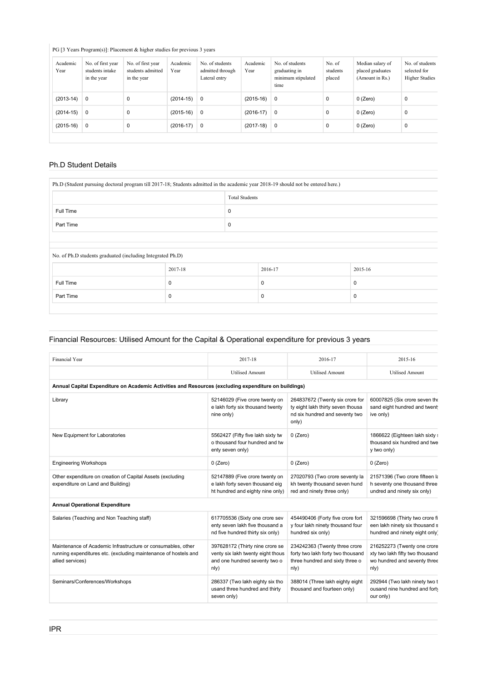## PG [3 Years Program(s)]: Placement & higher studies for previous 3 years

| Academic<br>Year | No. of first year<br>students intake<br>in the year | No. of first year<br>students admitted<br>in the year | Academic<br>Year | No. of students<br>admitted through<br>Lateral entry | Academic<br>Year | No. of students<br>graduating in<br>minimum stipulated<br>time | No. of<br>students<br>placed | Median salary of<br>placed graduates<br>(Amount in Rs.) | No. of students<br>selected for<br><b>Higher Studies</b> |
|------------------|-----------------------------------------------------|-------------------------------------------------------|------------------|------------------------------------------------------|------------------|----------------------------------------------------------------|------------------------------|---------------------------------------------------------|----------------------------------------------------------|
| $(2013-14)$      | $\mathbf 0$                                         | 0                                                     | $(2014-15)$      | $\mathbf 0$                                          | $(2015-16)$      | 0                                                              | O                            | $0$ (Zero)                                              | 0                                                        |
| $(2014-15)$      | $\mathbf 0$                                         | $\Omega$                                              | $(2015-16)$      | $\mathbf 0$                                          | $(2016-17)$      | 0                                                              |                              | $0$ (Zero)                                              | 0                                                        |
| $(2015-16)$      | 0                                                   | 0                                                     | $(2016-17)$      | $\mathbf 0$                                          | $(2017-18)$      | $\mathbf 0$                                                    | O                            | $0$ (Zero)                                              | 0                                                        |

## Ph.D Student Details

| Ph.D (Student pursuing doctoral program till 2017-18; Students admitted in the academic year 2018-19 should not be entered here.) |         |                       |         |  |             |  |  |
|-----------------------------------------------------------------------------------------------------------------------------------|---------|-----------------------|---------|--|-------------|--|--|
|                                                                                                                                   |         | <b>Total Students</b> |         |  |             |  |  |
| Full Time                                                                                                                         |         |                       | 0       |  |             |  |  |
| Part Time                                                                                                                         |         | 0                     |         |  |             |  |  |
|                                                                                                                                   |         |                       |         |  |             |  |  |
| No. of Ph.D students graduated (including Integrated Ph.D)                                                                        |         |                       |         |  |             |  |  |
|                                                                                                                                   | 2017-18 |                       | 2016-17 |  | 2015-16     |  |  |
| Full Time                                                                                                                         | 0       |                       | 0       |  | $\mathbf 0$ |  |  |
| Part Time                                                                                                                         | 0       |                       | 0       |  | 0           |  |  |

### Financial Resources: Utilised Amount for the Capital & Operational expenditure for previous 3 years

| Financial Year                                                                                                                                      | 2017-18                                                                                                       | 2016-17                                                                                                         | 2015-16                                                                                                |
|-----------------------------------------------------------------------------------------------------------------------------------------------------|---------------------------------------------------------------------------------------------------------------|-----------------------------------------------------------------------------------------------------------------|--------------------------------------------------------------------------------------------------------|
|                                                                                                                                                     | <b>Utilised Amount</b>                                                                                        | <b>Utilised Amount</b>                                                                                          | <b>Utilised Amount</b>                                                                                 |
| Annual Capital Expenditure on Academic Activities and Resources (excluding expenditure on buildings)                                                |                                                                                                               |                                                                                                                 |                                                                                                        |
| Library                                                                                                                                             | 52146029 (Five crore twenty on<br>e lakh forty six thousand twenty<br>nine only)                              | 264837672 (Twenty six crore for<br>ty eight lakh thirty seven thousa<br>nd six hundred and seventy two<br>only) | 60007825 (Six crore seven the<br>sand eight hundred and twent<br>ive only)                             |
| New Equipment for Laboratories                                                                                                                      | 5562427 (Fifty five lakh sixty tw<br>o thousand four hundred and tw<br>enty seven only)                       | $0$ (Zero)                                                                                                      | 1866622 (Eighteen lakh sixty :<br>thousand six hundred and twe<br>y two only)                          |
| <b>Engineering Workshops</b>                                                                                                                        | $0$ (Zero)                                                                                                    | $0$ (Zero)                                                                                                      | $0$ (Zero)                                                                                             |
| Other expenditure on creation of Capital Assets (excluding<br>expenditure on Land and Building)                                                     | 52147889 (Five crore twenty on<br>e lakh forty seven thousand eig<br>ht hundred and eighty nine only)         | 27020793 (Two crore seventy la<br>kh twenty thousand seven hund<br>red and ninety three only)                   | 21571396 (Two crore fifteen k<br>h seventy one thousand three<br>undred and ninety six only)           |
| <b>Annual Operational Expenditure</b>                                                                                                               |                                                                                                               |                                                                                                                 |                                                                                                        |
| Salaries (Teaching and Non Teaching staff)                                                                                                          | 617705536 (Sixty one crore sev<br>enty seven lakh five thousand a<br>nd five hundred thirty six only)         | 454490406 (Forty five crore fort<br>y four lakh ninety thousand four<br>hundred six only)                       | 321596698 (Thirty two crore fi<br>een lakh ninety six thousand s<br>hundred and ninety eight only      |
| Maintenance of Academic Infrastructure or consumables, other<br>running expenditures etc. (excluding maintenance of hostels and<br>allied services) | 397628172 (Thirty nine crore se<br>venty six lakh twenty eight thous<br>and one hundred seventy two o<br>n(y) | 234242363 (Twenty three crore<br>forty two lakh forty two thousand<br>three hundred and sixty three o<br>n(y)   | 216252273 (Twenty one crore<br>xty two lakh fifty two thousand<br>wo hundred and seventy three<br>nly) |
| Seminars/Conferences/Workshops                                                                                                                      | 286337 (Two lakh eighty six tho<br>usand three hundred and thirty<br>seven only)                              | 388014 (Three lakh eighty eight<br>thousand and fourteen only)                                                  | 292944 (Two lakh ninety two t<br>ousand nine hundred and forty<br>our only)                            |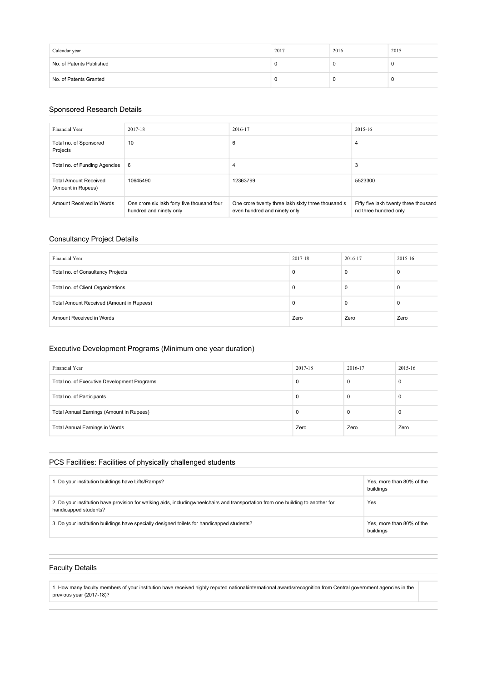| Calendar year            | 2017 | 2016 | 2015 |
|--------------------------|------|------|------|
| No. of Patents Published |      |      | л.   |
| No. of Patents Granted   |      |      | л.   |

#### Sponsored Research Details

| Financial Year                                     | 2017-18                                                                | 2016-17                                                                            | 2015-16                                                        |
|----------------------------------------------------|------------------------------------------------------------------------|------------------------------------------------------------------------------------|----------------------------------------------------------------|
| Total no. of Sponsored<br>Projects                 | 10                                                                     | 6                                                                                  | 4                                                              |
| Total no. of Funding Agencies                      | 6                                                                      | 4                                                                                  | 3                                                              |
| <b>Total Amount Received</b><br>(Amount in Rupees) | 10645490                                                               | 12363799                                                                           | 5523300                                                        |
| Amount Received in Words                           | One crore six lakh forty five thousand four<br>hundred and ninety only | One crore twenty three lakh sixty three thousand s<br>even hundred and ninety only | Fifty five lakh twenty three thousand<br>nd three hundred only |

### Consultancy Project Details

| Financial Year                           | 2017-18 | 2016-17 | 2015-16 |
|------------------------------------------|---------|---------|---------|
| Total no. of Consultancy Projects        | 0       |         | 0       |
| Total no. of Client Organizations        | 0       |         | 0       |
| Total Amount Received (Amount in Rupees) | U       |         | 0       |
| Amount Received in Words                 | Zero    | Zero    | Zero    |

### Executive Development Programs (Minimum one year duration)

| Financial Year                              | 2017-18  | 2016-17 | 2015-16 |
|---------------------------------------------|----------|---------|---------|
| Total no. of Executive Development Programs | 0        | υ       |         |
| Total no. of Participants                   | $\Omega$ | 0       |         |
| Total Annual Earnings (Amount in Rupees)    | $\Omega$ | υ       |         |
| Total Annual Earnings in Words              | Zero     | Zero    | Zero    |

### PCS Facilities: Facilities of physically challenged students

| 1. Do your institution buildings have Lifts/Ramps?                                                                                                        | Yes, more than 80% of the<br>buildings |
|-----------------------------------------------------------------------------------------------------------------------------------------------------------|----------------------------------------|
| 2. Do your institution have provision for walking aids, includingwheelchairs and transportation from one building to another for<br>handicapped students? | Yes                                    |
| 3. Do your institution buildings have specially designed toilets for handicapped students?                                                                | Yes, more than 80% of the<br>buildings |

### Faculty Details

1. How many faculty members of your institution have received highly reputed national/international awards/recognition from Central government agencies in the previous year (2017-18)?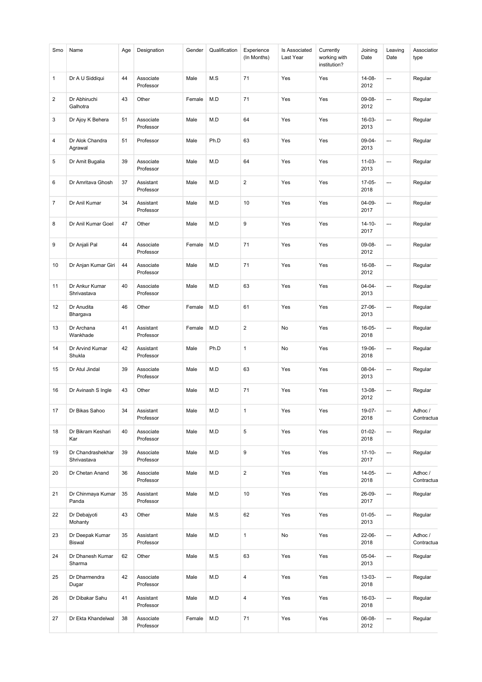| Smo            | Name                             | Age | Designation            | Gender | Qualification | Experience<br>(In Months) | Is Associated<br>Last Year | Currently<br>working with<br>institution? | Joining<br>Date     | Leaving<br>Date          | Associatior<br>type   |
|----------------|----------------------------------|-----|------------------------|--------|---------------|---------------------------|----------------------------|-------------------------------------------|---------------------|--------------------------|-----------------------|
| 1              | Dr A U Siddiqui                  | 44  | Associate<br>Professor | Male   | M.S           | 71                        | Yes                        | Yes                                       | 14-08-<br>2012      | ---                      | Regular               |
| 2              | Dr Abhiruchi<br>Galhotra         | 43  | Other                  | Female | M.D           | 71                        | Yes                        | Yes                                       | 09-08-<br>2012      | ---                      | Regular               |
| 3              | Dr Ajoy K Behera                 | 51  | Associate<br>Professor | Male   | M.D           | 64                        | Yes                        | Yes                                       | 16-03-<br>2013      | $\overline{a}$           | Regular               |
| 4              | Dr Alok Chandra<br>Agrawal       | 51  | Professor              | Male   | Ph.D          | 63                        | Yes                        | Yes                                       | 09-04-<br>2013      | ---                      | Regular               |
| 5              | Dr Amit Bugalia                  | 39  | Associate<br>Professor | Male   | M.D           | 64                        | Yes                        | Yes                                       | $11 - 03 -$<br>2013 | ---                      | Regular               |
| 6              | Dr Amritava Ghosh                | 37  | Assistant<br>Professor | Male   | M.D           | $\overline{2}$            | Yes                        | Yes                                       | 17-05-<br>2018      | ---                      | Regular               |
| $\overline{7}$ | Dr Anil Kumar                    | 34  | Assistant<br>Professor | Male   | M.D           | 10                        | Yes                        | Yes                                       | $04 - 09 -$<br>2017 | ┄                        | Regular               |
| 8              | Dr Anil Kumar Goel               | 47  | Other                  | Male   | M.D           | 9                         | Yes                        | Yes                                       | $14 - 10 -$<br>2017 | ---                      | Regular               |
| 9              | Dr Anjali Pal                    | 44  | Associate<br>Professor | Female | M.D           | 71                        | Yes                        | Yes                                       | 09-08-<br>2012      | ---                      | Regular               |
| 10             | Dr Anjan Kumar Giri              | 44  | Associate<br>Professor | Male   | M.D           | 71                        | Yes                        | Yes                                       | 16-08-<br>2012      | ---                      | Regular               |
| 11             | Dr Ankur Kumar<br>Shrivastava    | 40  | Associate<br>Professor | Male   | M.D           | 63                        | Yes                        | Yes                                       | $04 - 04 -$<br>2013 | ---                      | Regular               |
| 12             | Dr Anudita<br>Bhargava           | 46  | Other                  | Female | M.D           | 61                        | Yes                        | Yes                                       | 27-06-<br>2013      | ---                      | Regular               |
| 13             | Dr Archana<br>Wankhade           | 41  | Assistant<br>Professor | Female | M.D           | $\overline{2}$            | No                         | Yes                                       | 16-05-<br>2018      | ---                      | Regular               |
| 14             | Dr Arvind Kumar<br>Shukla        | 42  | Assistant<br>Professor | Male   | Ph.D          | $\mathbf{1}$              | No                         | Yes                                       | 19-06-<br>2018      | ---                      | Regular               |
| 15             | Dr Atul Jindal                   | 39  | Associate<br>Professor | Male   | M.D           | 63                        | Yes                        | Yes                                       | $08-04-$<br>2013    | ---                      | Regular               |
| 16             | Dr Avinash S Ingle               | 43  | Other                  | Male   | M.D           | 71                        | Yes                        | Yes                                       | 13-08-<br>2012      | ---                      | Regular               |
| 17             | Dr Bikas Sahoo                   | 34  | Assistant<br>Professor | Male   | M.D           | $\mathbf{1}$              | Yes                        | Yes                                       | 19-07-<br>2018      | ---                      | Adhoc /<br>Contractua |
| 18             | Dr Bikram Keshari<br>Kar         | 40  | Associate<br>Professor | Male   | M.D           | 5                         | Yes                        | Yes                                       | $01 - 02 -$<br>2018 | ---                      | Regular               |
| 19             | Dr Chandrashekhar<br>Shrivastava | 39  | Associate<br>Professor | Male   | M.D           | 9                         | Yes                        | Yes                                       | $17-10-$<br>2017    | ---                      | Regular               |
| 20             | Dr Chetan Anand                  | 36  | Associate<br>Professor | Male   | M.D           | $\sqrt{2}$                | Yes                        | Yes                                       | 14-05-<br>2018      | $\overline{\phantom{a}}$ | Adhoc/<br>Contractua  |
| 21             | Dr Chinmaya Kumar<br>Panda       | 35  | Assistant<br>Professor | Male   | M.D           | 10                        | Yes                        | Yes                                       | 26-09-<br>2017      | $\overline{\phantom{a}}$ | Regular               |
| 22             | Dr Debajyoti<br>Mohanty          | 43  | Other                  | Male   | M.S           | 62                        | Yes                        | Yes                                       | $01 - 05 -$<br>2013 | ┄                        | Regular               |
| 23             | Dr Deepak Kumar<br><b>Biswal</b> | 35  | Assistant<br>Professor | Male   | M.D           | $\mathbf{1}$              | No                         | Yes                                       | 22-06-<br>2018      | ---                      | Adhoc /<br>Contractua |
| 24             | Dr Dhanesh Kumar<br>Sharma       | 62  | Other                  | Male   | M.S           | 63                        | Yes                        | Yes                                       | $05-04-$<br>2013    | ---                      | Regular               |
| 25             | Dr Dharmendra<br>Dugar           | 42  | Associate<br>Professor | Male   | M.D           | $\overline{\mathbf{4}}$   | Yes                        | Yes                                       | $13 - 03 -$<br>2018 | ---                      | Regular               |
| 26             | Dr Dibakar Sahu                  | 41  | Assistant<br>Professor | Male   | M.D           | $\sqrt{4}$                | Yes                        | Yes                                       | 16-03-<br>2018      | ---                      | Regular               |
| 27             | Dr Ekta Khandelwal               | 38  | Associate<br>Professor | Female | M.D           | 71                        | Yes                        | Yes                                       | 06-08-<br>2012      | ---                      | Regular               |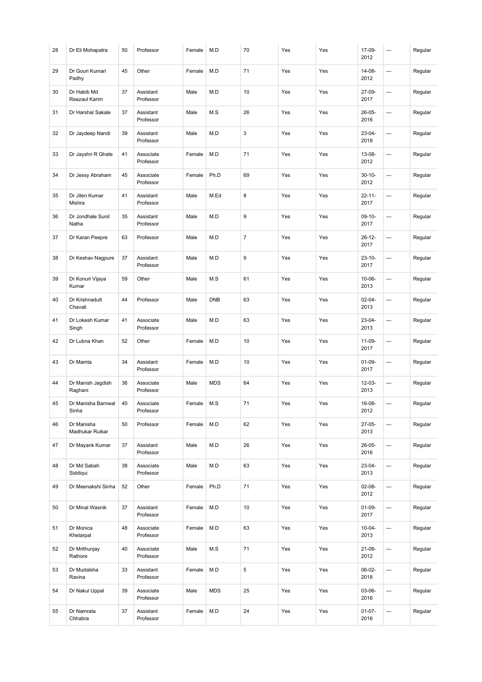| 28 | Dr Eli Mohapatra              | 50 | Professor              | Female | M.D        | 70             | Yes | Yes | 17-09-<br>2012      | ---     | Regular |
|----|-------------------------------|----|------------------------|--------|------------|----------------|-----|-----|---------------------|---------|---------|
| 29 | Dr Gouri Kumari<br>Padhy      | 45 | Other                  | Female | M.D        | 71             | Yes | Yes | 14-08-<br>2012      | ---     | Regular |
| 30 | Dr Habib Md<br>Reazaul Karim  | 37 | Assistant<br>Professor | Male   | M.D        | 10             | Yes | Yes | 27-09-<br>2017      | ---     | Regular |
| 31 | Dr Harshal Sakale             | 37 | Assistant<br>Professor | Male   | M.S        | 26             | Yes | Yes | 26-05-<br>2016      | ---     | Regular |
| 32 | Dr Jaydeep Nandi              | 39 | Assistant<br>Professor | Male   | M.D        | 3              | Yes | Yes | 23-04-<br>2018      | ---     | Regular |
| 33 | Dr Jayshri R Ghate            | 41 | Associate<br>Professor | Female | M.D        | 71             | Yes | Yes | 13-08-<br>2012      | ---     | Regular |
| 34 | Dr Jessy Abraham              | 45 | Associate<br>Professor | Female | Ph.D       | 69             | Yes | Yes | $30 - 10 -$<br>2012 | <u></u> | Regular |
| 35 | Dr Jiten Kumar<br>Mishra      | 41 | Assistant<br>Professor | Male   | M.Ed       | 8              | Yes | Yes | $22 - 11 -$<br>2017 | ---     | Regular |
| 36 | Dr Jondhale Sunil<br>Natha    | 35 | Assistant<br>Professor | Male   | M.D        | 9              | Yes | Yes | $09-10-$<br>2017    | ---     | Regular |
| 37 | Dr Karan Peepre               | 63 | Professor              | Male   | M.D        | $\overline{7}$ | Yes | Yes | $26 - 12 -$<br>2017 | ---     | Regular |
| 38 | Dr Keshav Nagpure             | 37 | Assistant<br>Professor | Male   | M.D        | 9              | Yes | Yes | $23 - 10 -$<br>2017 | ---     | Regular |
| 39 | Dr Konuri Vijaya<br>Kumar     | 59 | Other                  | Male   | M.S        | 61             | Yes | Yes | $10 - 06 -$<br>2013 | ---     | Regular |
| 40 | Dr Krishnadutt<br>Chavali     | 44 | Professor              | Male   | <b>DNB</b> | 63             | Yes | Yes | $02 - 04 -$<br>2013 | ---     | Regular |
| 41 | Dr Lokesh Kumar<br>Singh      | 41 | Associate<br>Professor | Male   | M.D        | 63             | Yes | Yes | 23-04-<br>2013      | <u></u> | Regular |
| 42 | Dr Lubna Khan                 | 52 | Other                  | Female | M.D        | 10             | Yes | Yes | $11 - 09 -$<br>2017 | ---     | Regular |
| 43 | Dr Mamta                      | 34 | Assistant<br>Professor | Female | M.D        | 10             | Yes | Yes | $01-09-$<br>2017    | ---     | Regular |
| 44 | Dr Manish Jagdish<br>Raghani  | 36 | Associate<br>Professor | Male   | <b>MDS</b> | 64             | Yes | Yes | 12-03-<br>2013      | ---     | Regular |
| 45 | Dr Manisha Barnwal<br>Sinha   | 40 | Associate<br>Professor | Female | M.S        | 71             | Yes | Yes | 16-08-<br>2012      | ---     | Regular |
| 46 | Dr Manisha<br>Madhukar Ruikar | 50 | Professor              | Female | M.D        | 62             | Yes | Yes | $27-05-$<br>2013    | ---     | Regular |
| 47 | Dr Mayank Kumar               | 37 | Assistant<br>Professor | Male   | M.D        | 26             | Yes | Yes | 26-05-<br>2016      | ---     | Regular |
| 48 | Dr Md Sabah<br>Siddiqui       | 38 | Associate<br>Professor | Male   | M.D        | 63             | Yes | Yes | $23-04-$<br>2013    | ---     | Regular |
| 49 | Dr Meenakshi Sinha            | 52 | Other                  | Female | Ph.D       | 71             | Yes | Yes | $02 - 08 -$<br>2012 | <u></u> | Regular |
| 50 | Dr Minal Wasnik               | 37 | Assistant<br>Professor | Female | M.D        | 10             | Yes | Yes | $01 - 09 -$<br>2017 | ---     | Regular |
| 51 | Dr Monica<br>Khetarpal        | 48 | Associate<br>Professor | Female | M.D        | 63             | Yes | Yes | $10 - 04 -$<br>2013 | ---     | Regular |
| 52 | Dr Mrithunjay<br>Rathore      | 40 | Associate<br>Professor | Male   | M.S        | 71             | Yes | Yes | $21 - 08 -$<br>2012 | ---     | Regular |
| 53 | Dr Mudalsha<br>Ravina         | 33 | Assistant<br>Professor | Female | M.D        | $\sqrt{5}$     | Yes | Yes | 06-02-<br>2018      | ---     | Regular |
| 54 | Dr Nakul Uppal                | 39 | Associate<br>Professor | Male   | <b>MDS</b> | 25             | Yes | Yes | 03-06-<br>2016      | ---     | Regular |
| 55 | Dr Namrata<br>Chhabra         | 37 | Assistant<br>Professor | Female | M.D        | 24             | Yes | Yes | $01-07-$<br>2016    | ---     | Regular |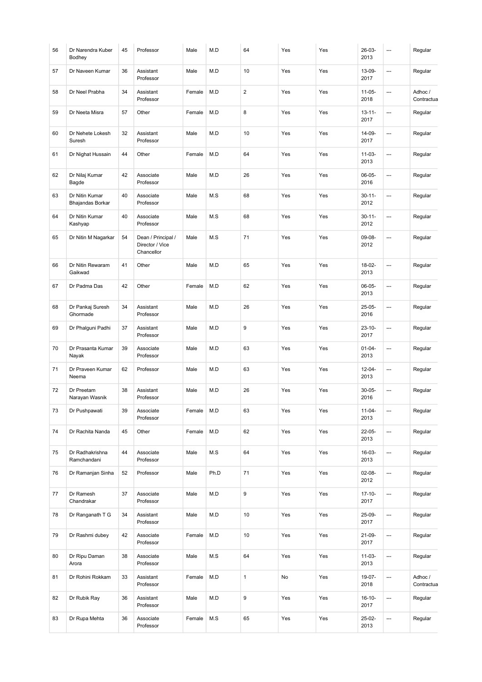| 56     | Dr Narendra Kuber<br>Bodhey        | 45 | Professor                                           | Male   | M.D  | 64             | Yes | Yes | 26-03-<br>2013      | ---                      | Regular               |
|--------|------------------------------------|----|-----------------------------------------------------|--------|------|----------------|-----|-----|---------------------|--------------------------|-----------------------|
| 57     | Dr Naveen Kumar                    | 36 | Assistant<br>Professor                              | Male   | M.D  | 10             | Yes | Yes | 13-09-<br>2017      | ---                      | Regular               |
| 58     | Dr Neel Prabha                     | 34 | Assistant<br>Professor                              | Female | M.D  | $\overline{2}$ | Yes | Yes | $11 - 05 -$<br>2018 | ---                      | Adhoc /<br>Contractua |
| 59     | Dr Neeta Misra                     | 57 | Other                                               | Female | M.D  | 8              | Yes | Yes | $13 - 11 -$<br>2017 | ---                      | Regular               |
| 60     | Dr Nehete Lokesh<br>Suresh         | 32 | Assistant<br>Professor                              | Male   | M.D  | 10             | Yes | Yes | 14-09-<br>2017      | ---                      | Regular               |
| 61     | Dr Nighat Hussain                  | 44 | Other                                               | Female | M.D  | 64             | Yes | Yes | $11 - 03 -$<br>2013 | ---                      | Regular               |
| 62     | Dr Nilaj Kumar<br>Bagde            | 42 | Associate<br>Professor                              | Male   | M.D  | 26             | Yes | Yes | $06-05-$<br>2016    | …                        | Regular               |
| 63     | Dr Nitin Kumar<br>Bhajandas Borkar | 40 | Associate<br>Professor                              | Male   | M.S  | 68             | Yes | Yes | $30 - 11 -$<br>2012 | ---                      | Regular               |
| 64     | Dr Nitin Kumar<br>Kashyap          | 40 | Associate<br>Professor                              | Male   | M.S  | 68             | Yes | Yes | $30 - 11 -$<br>2012 | ---                      | Regular               |
| 65     | Dr Nitin M Nagarkar                | 54 | Dean / Principal /<br>Director / Vice<br>Chancellor | Male   | M.S  | 71             | Yes | Yes | 09-08-<br>2012      | $\overline{a}$           | Regular               |
| 66     | Dr Nitin Rewaram<br>Gaikwad        | 41 | Other                                               | Male   | M.D  | 65             | Yes | Yes | 18-02-<br>2013      | ---                      | Regular               |
| 67     | Dr Padma Das                       | 42 | Other                                               | Female | M.D  | 62             | Yes | Yes | 06-05-<br>2013      | …                        | Regular               |
| 68     | Dr Pankaj Suresh<br>Ghormade       | 34 | Assistant<br>Professor                              | Male   | M.D  | 26             | Yes | Yes | $25-05-$<br>2016    | ---                      | Regular               |
| 69     | Dr Phalguni Padhi                  | 37 | Assistant<br>Professor                              | Male   | M.D  | 9              | Yes | Yes | $23 - 10 -$<br>2017 | ---                      | Regular               |
| 70     | Dr Prasanta Kumar<br>Nayak         | 39 | Associate<br>Professor                              | Male   | M.D  | 63             | Yes | Yes | $01 - 04 -$<br>2013 | ---                      | Regular               |
| 71     | Dr Praveen Kumar<br>Neema          | 62 | Professor                                           | Male   | M.D  | 63             | Yes | Yes | $12 - 04 -$<br>2013 | ---                      | Regular               |
| 72     | Dr Preetam<br>Narayan Wasnik       | 38 | Assistant<br>Professor                              | Male   | M.D  | 26             | Yes | Yes | $30 - 05 -$<br>2016 | ---                      | Regular               |
| $73\,$ | Dr Pushpawati                      | 39 | Associate<br>Professor                              | Female | M.D  | 63             | Yes | Yes | $11 - 04 -$<br>2013 | ---                      | Regular               |
| 74     | Dr Rachita Nanda                   | 45 | Other                                               | Female | M.D  | 62             | Yes | Yes | $22 - 05 -$<br>2013 | …                        | Regular               |
| 75     | Dr Radhakrishna<br>Ramchandani     | 44 | Associate<br>Professor                              | Male   | M.S  | 64             | Yes | Yes | 16-03-<br>2013      | ---                      | Regular               |
| 76     | Dr Ramanjan Sinha                  | 52 | Professor                                           | Male   | Ph.D | 71             | Yes | Yes | 02-08-<br>2012      | ---                      | Regular               |
| 77     | Dr Ramesh<br>Chandrakar            | 37 | Associate<br>Professor                              | Male   | M.D  | 9              | Yes | Yes | $17-10-$<br>2017    | $\overline{\phantom{a}}$ | Regular               |
| 78     | Dr Ranganath T G                   | 34 | Assistant<br>Professor                              | Male   | M.D  | 10             | Yes | Yes | 25-09-<br>2017      | ---                      | Regular               |
| 79     | Dr Rashmi dubey                    | 42 | Associate<br>Professor                              | Female | M.D  | 10             | Yes | Yes | $21-09-$<br>2017    | ---                      | Regular               |
| 80     | Dr Ripu Daman<br>Arora             | 38 | Associate<br>Professor                              | Male   | M.S  | 64             | Yes | Yes | $11 - 03 -$<br>2013 | ---                      | Regular               |
| 81     | Dr Rohini Rokkam                   | 33 | Assistant<br>Professor                              | Female | M.D  | $\mathbf{1}$   | No  | Yes | 19-07-<br>2018      | ---                      | Adhoc /<br>Contractua |
| 82     | Dr Rubik Ray                       | 36 | Assistant<br>Professor                              | Male   | M.D  | 9              | Yes | Yes | $16 - 10 -$<br>2017 | …                        | Regular               |
| 83     | Dr Rupa Mehta                      | 36 | Associate<br>Professor                              | Female | M.S  | 65             | Yes | Yes | 25-02-<br>2013      | ---                      | Regular               |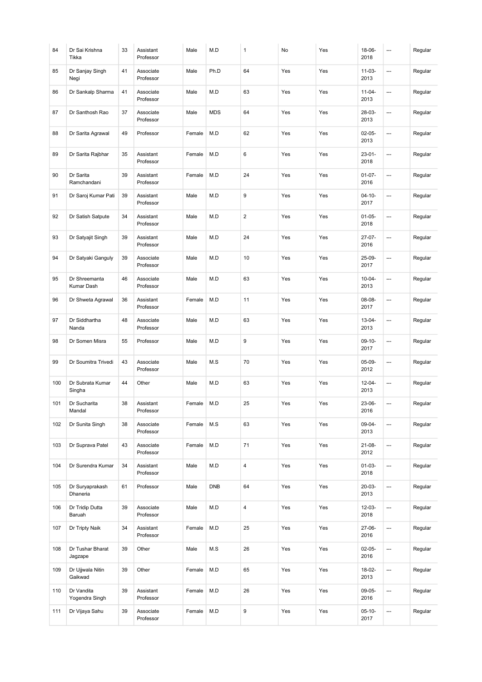| 84  | Dr Sai Krishna<br>Tikka      | 33 | Assistant<br>Professor | Male   | M.D        | $\mathbf{1}$            | No  | Yes | 18-06-<br>2018      | --- | Regular |
|-----|------------------------------|----|------------------------|--------|------------|-------------------------|-----|-----|---------------------|-----|---------|
| 85  | Dr Sanjay Singh<br>Negi      | 41 | Associate<br>Professor | Male   | Ph.D       | 64                      | Yes | Yes | $11 - 03 -$<br>2013 | --- | Regular |
| 86  | Dr Sankalp Sharma            | 41 | Associate<br>Professor | Male   | M.D        | 63                      | Yes | Yes | $11 - 04 -$<br>2013 | …   | Regular |
| 87  | Dr Santhosh Rao              | 37 | Associate<br>Professor | Male   | <b>MDS</b> | 64                      | Yes | Yes | 28-03-<br>2013      | --- | Regular |
| 88  | Dr Sarita Agrawal            | 49 | Professor              | Female | M.D        | 62                      | Yes | Yes | $02 - 05 -$<br>2013 | --- | Regular |
| 89  | Dr Sarita Rajbhar            | 35 | Assistant<br>Professor | Female | M.D        | 6                       | Yes | Yes | $23 - 01 -$<br>2018 | --- | Regular |
| 90  | Dr Sarita<br>Ramchandani     | 39 | Assistant<br>Professor | Female | M.D        | 24                      | Yes | Yes | $01 - 07 -$<br>2016 | --- | Regular |
| 91  | Dr Saroj Kumar Pati          | 39 | Assistant<br>Professor | Male   | M.D        | 9                       | Yes | Yes | $04 - 10 -$<br>2017 | --- | Regular |
| 92  | Dr Satish Satpute            | 34 | Assistant<br>Professor | Male   | M.D        | $\overline{2}$          | Yes | Yes | $01 - 05 -$<br>2018 | --- | Regular |
| 93  | Dr Satyajit Singh            | 39 | Assistant<br>Professor | Male   | M.D        | 24                      | Yes | Yes | 27-07-<br>2016      | --- | Regular |
| 94  | Dr Satyaki Ganguly           | 39 | Associate<br>Professor | Male   | M.D        | 10                      | Yes | Yes | 25-09-<br>2017      | --- | Regular |
| 95  | Dr Shreemanta<br>Kumar Dash  | 46 | Associate<br>Professor | Male   | M.D        | 63                      | Yes | Yes | $10 - 04 -$<br>2013 | --- | Regular |
| 96  | Dr Shweta Agrawal            | 36 | Assistant<br>Professor | Female | M.D        | 11                      | Yes | Yes | 08-08-<br>2017      | --- | Regular |
| 97  | Dr Siddhartha<br>Nanda       | 48 | Associate<br>Professor | Male   | M.D        | 63                      | Yes | Yes | $13 - 04 -$<br>2013 | …   | Regular |
| 98  | Dr Somen Misra               | 55 | Professor              | Male   | M.D        | 9                       | Yes | Yes | $09-10-$<br>2017    | --- | Regular |
| 99  | Dr Soumitra Trivedi          | 43 | Associate<br>Professor | Male   | M.S        | 70                      | Yes | Yes | $05-09-$<br>2012    | --- | Regular |
| 100 | Dr Subrata Kumar<br>Singha   | 44 | Other                  | Male   | M.D        | 63                      | Yes | Yes | $12 - 04 -$<br>2013 | --- | Regular |
| 101 | Dr Sucharita<br>Mandal       | 38 | Assistant<br>Professor | Female | M.D        | 25                      | Yes | Yes | 23-06-<br>2016      | --- | Regular |
| 102 | Dr Sunita Singh              | 38 | Associate<br>Professor | Female | M.S        | 63                      | Yes | Yes | $09 - 04 -$<br>2013 | --- | Regular |
| 103 | Dr Suprava Patel             | 43 | Associate<br>Professor | Female | M.D        | 71                      | Yes | Yes | $21 - 08 -$<br>2012 | --- | Regular |
| 104 | Dr Surendra Kumar            | 34 | Assistant<br>Professor | Male   | M.D        | $\overline{\mathbf{4}}$ | Yes | Yes | $01 - 03 -$<br>2018 | --- | Regular |
| 105 | Dr Suryaprakash<br>Dhaneria  | 61 | Professor              | Male   | <b>DNB</b> | 64                      | Yes | Yes | 20-03-<br>2013      | --- | Regular |
| 106 | Dr Tridip Dutta<br>Baruah    | 39 | Associate<br>Professor | Male   | M.D        | $\overline{\mathbf{4}}$ | Yes | Yes | 12-03-<br>2018      | --- | Regular |
| 107 | Dr Tripty Naik               | 34 | Assistant<br>Professor | Female | M.D        | 25                      | Yes | Yes | $27-06-$<br>2016    | --- | Regular |
| 108 | Dr Tushar Bharat<br>Jagzape  | 39 | Other                  | Male   | M.S        | 26                      | Yes | Yes | $02 - 05 -$<br>2016 | --- | Regular |
| 109 | Dr Ujjwala Nitin<br>Gaikwad  | 39 | Other                  | Female | M.D        | 65                      | Yes | Yes | 18-02-<br>2013      | --- | Regular |
| 110 | Dr Vandita<br>Yogendra Singh | 39 | Assistant<br>Professor | Female | M.D        | 26                      | Yes | Yes | 09-05-<br>2016      | --- | Regular |
| 111 | Dr Vijaya Sahu               | 39 | Associate<br>Professor | Female | M.D        | 9                       | Yes | Yes | $05-10-$<br>2017    | --- | Regular |